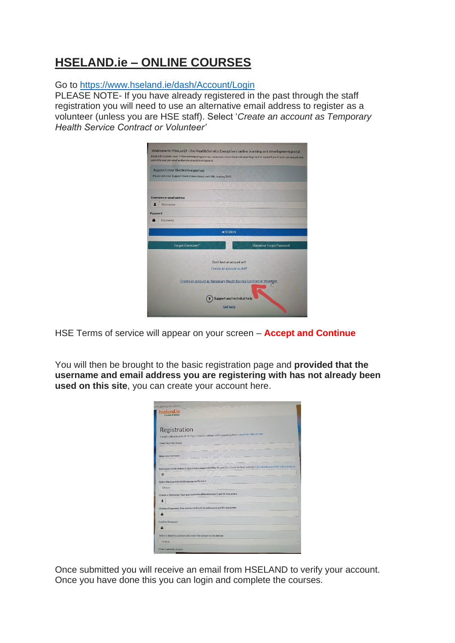## **HSELAND.ie – ONLINE COURSES**

Go to <https://www.hseland.ie/dash/Account/Login>

PLEASE NOTE- If you have already registered in the past through the staff registration you will need to use an alternative email address to register as a volunteer (unless you are HSE staff). Select '*Create an account as Temporary Health Service Contract or Volunteer'*

| and with your personal and professional development.               | Welcome to HSeLanD - the Health Service Executive's online learning and development portal.<br>HSeLanD contains over 170 eLearning programmes, resources, assessment and planning tools to support you in your current job role |
|--------------------------------------------------------------------|---------------------------------------------------------------------------------------------------------------------------------------------------------------------------------------------------------------------------------|
| Support over the festive period                                    |                                                                                                                                                                                                                                 |
| Please note our Support Desk is now closed until 4th January 2021. |                                                                                                                                                                                                                                 |
|                                                                    |                                                                                                                                                                                                                                 |
| Username or email address                                          | The List of Christian Holly and Christian County of Carlos and<br><b>All Partition in the article</b>                                                                                                                           |
| п<br>Username                                                      | <b>A REAL PROPERTY</b>                                                                                                                                                                                                          |
| Password                                                           | <b>BULLEON IN GUILDIERS AND ALLEST</b>                                                                                                                                                                                          |
| Password                                                           |                                                                                                                                                                                                                                 |
|                                                                    | <b>The High Health Walker</b>                                                                                                                                                                                                   |
|                                                                    | <b>DISIGNIN</b>                                                                                                                                                                                                                 |
| Forgot Username?                                                   | <b>Update or Forgot Password</b>                                                                                                                                                                                                |
|                                                                    | Don't have an account yet?                                                                                                                                                                                                      |
|                                                                    | Create an account as staff                                                                                                                                                                                                      |
|                                                                    |                                                                                                                                                                                                                                 |
|                                                                    | Create an account as Temporary Health Service Contract or Volunteer                                                                                                                                                             |
|                                                                    |                                                                                                                                                                                                                                 |
|                                                                    | <b>Support and technical help</b>                                                                                                                                                                                               |
|                                                                    | <b>Get help</b>                                                                                                                                                                                                                 |
|                                                                    |                                                                                                                                                                                                                                 |

HSE Terms of service will appear on your screen – **Accept and Continue**

You will then be brought to the basic registration page and **provided that the username and email address you are registering with has not already been used on this site**, you can create your account here.

| hseland.ie<br>Cüram le Eolas                  |                                                                                                                                          |  |  |
|-----------------------------------------------|------------------------------------------------------------------------------------------------------------------------------------------|--|--|
|                                               |                                                                                                                                          |  |  |
| Registration                                  |                                                                                                                                          |  |  |
|                                               | Complete all parts of this form. If you have any problems with registering please consult our Help section.                              |  |  |
| Enter Your First Name                         |                                                                                                                                          |  |  |
| Enter your Surname                            |                                                                                                                                          |  |  |
| 廖                                             | Enter your email address (required as a unique identifier for you) Don't have an email address? Click here to search for a free account. |  |  |
| Select the county in which you currently work |                                                                                                                                          |  |  |
| Choose                                        |                                                                                                                                          |  |  |
| $\mathbf{r}$                                  | Choose a Username. Your username should be between 3 and 30 characters.                                                                  |  |  |
|                                               | Choose a Password. Your password should be between 6 and 15 characters.                                                                  |  |  |
|                                               |                                                                                                                                          |  |  |
| n                                             |                                                                                                                                          |  |  |
| <b>Confirm Password</b>                       |                                                                                                                                          |  |  |
|                                               |                                                                                                                                          |  |  |
|                                               | Select a security question and insert the answer to this below.                                                                          |  |  |

Once submitted you will receive an email from HSELAND to verify your account. Once you have done this you can login and complete the courses.